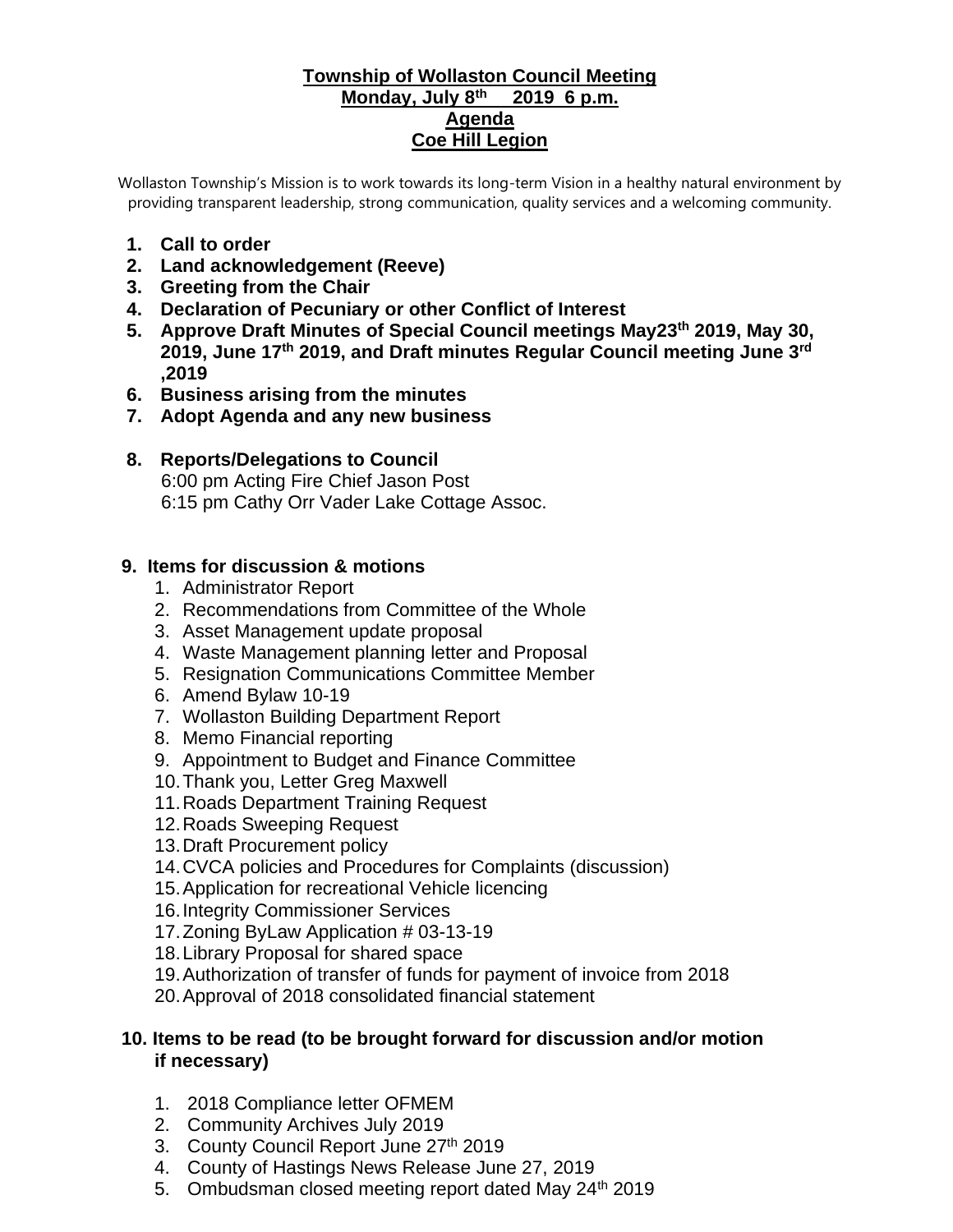#### **Township of Wollaston Council Meeting Monday, July 8th 2019 6 p.m. Agenda Coe Hill Legion**

Wollaston Township's Mission is to work towards its long-term Vision in a healthy natural environment by providing transparent leadership, strong communication, quality services and a welcoming community.

- **1. Call to order**
- **2. Land acknowledgement (Reeve)**
- **3. Greeting from the Chair**
- **4. Declaration of Pecuniary or other Conflict of Interest**
- **5. Approve Draft Minutes of Special Council meetings May23th 2019, May 30, 2019, June 17th 2019, and Draft minutes Regular Council meeting June 3rd ,2019**
- **6. Business arising from the minutes**
- **7. Adopt Agenda and any new business**
- **8. Reports/Delegations to Council** 6:00 pm Acting Fire Chief Jason Post 6:15 pm Cathy Orr Vader Lake Cottage Assoc.

#### **9. Items for discussion & motions**

- 1. Administrator Report
- 2. Recommendations from Committee of the Whole
- 3. Asset Management update proposal
- 4. Waste Management planning letter and Proposal
- 5. Resignation Communications Committee Member
- 6. Amend Bylaw 10-19
- 7. Wollaston Building Department Report
- 8. Memo Financial reporting
- 9. Appointment to Budget and Finance Committee
- 10.Thank you, Letter Greg Maxwell
- 11.Roads Department Training Request
- 12.Roads Sweeping Request
- 13.Draft Procurement policy
- 14.CVCA policies and Procedures for Complaints (discussion)
- 15.Application for recreational Vehicle licencing
- 16.Integrity Commissioner Services
- 17.Zoning ByLaw Application # 03-13-19
- 18.Library Proposal for shared space
- 19.Authorization of transfer of funds for payment of invoice from 2018
- 20.Approval of 2018 consolidated financial statement

### **10. Items to be read (to be brought forward for discussion and/or motion if necessary)**

- 1. 2018 Compliance letter OFMEM
- 2. Community Archives July 2019
- 3. County Council Report June 27th 2019
- 4. County of Hastings News Release June 27, 2019
- 5. Ombudsman closed meeting report dated May 24<sup>th</sup> 2019